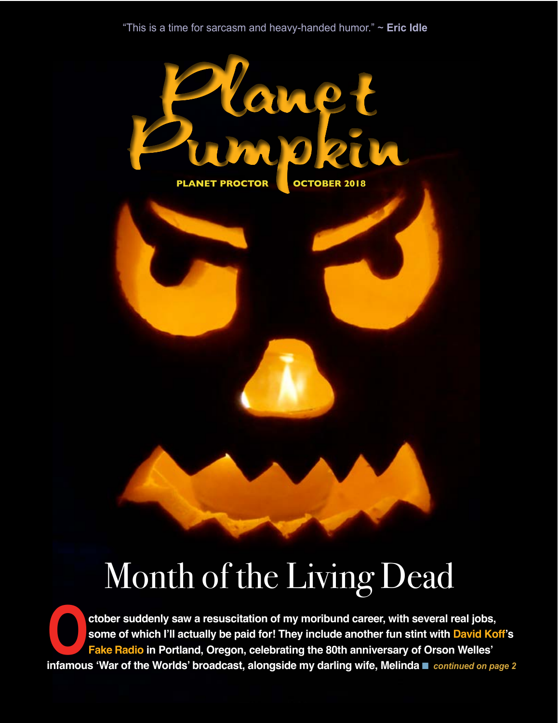

# Month of the Living Dead

**October suddenly saw a resuscitation of my moribund career, with several real jobs, some of which I'll actually be paid for! They include another fun stint with David Koff's Fake Radio in Portland, Oregon, celebrating th some of which I'll actually be paid for! They include another fun stint with David Koff's Fake Radio in Portland, Oregon, celebrating the 80th anniversary of Orson Welles'**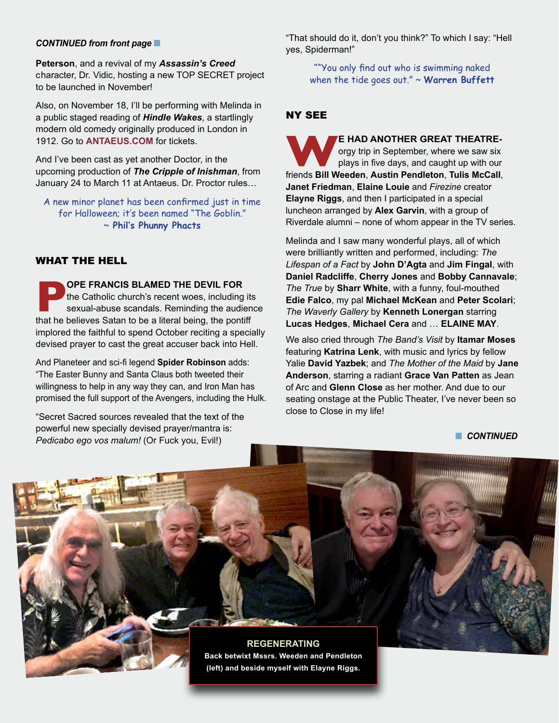#### **CONTINUED from front page**

**Peterson**, and a revival of my *Assassin's Creed* character, Dr. Vidic, hosting a new TOP SECRET project to be launched in November!

Also, on November 18, I'll be performing with Melinda in a public staged reading of *Hindle Wakes*, a startlingly modern old comedy originally produced in London in 1912. Go to **[ANTAEUS.COM](http://antaeus.org/)** for tickets.

And I've been cast as yet another Doctor, in the upcoming production of *The Cripple of Inishman*, from January 24 to March 11 at Antaeus. Dr. Proctor rules…

A new minor planet has been confirmed just in time for Halloween; it's been named "The Goblin." ~ **Phil's Phunny Phacts**

#### WHAT THE HELL

**POPE FRANCIS BLAMED THE DEVIL FOR**<br>
the Catholic church's recent woes, including its<br>
sexual-abuse scandals. Reminding the audien<br>
that he believes Satan to be a literal being, the pontiff the Catholic church's recent woes, including its sexual-abuse scandals. Reminding the audience implored the faithful to spend October reciting a specially devised prayer to cast the great accuser back into Hell.

And Planeteer and sci-fi legend **Spider Robinson** adds: "The Easter Bunny and Santa Claus both tweeted their willingness to help in any way they can, and Iron Man has promised the full support of the Avengers, including the Hulk.

"Secret Sacred sources revealed that the text of the powerful new specially devised prayer/mantra is: *Pedicabo ego vos malum!* (Or Fuck you, Evil!)

"That should do it, don't you think?" To which I say: "Hell yes, Spiderman!"

> ""You only find out who is swimming naked when the tide goes out." ~ **Warren Buffett**

#### NY SEE

**WE HAD ANOTHER GREAT THEATRE-**<br>orgy trip in September, where we saw six<br>friends **Bill Weeden**, Austin Pendleton, Tulis McCall, orgy trip in September, where we saw six plays in five days, and caught up with our **Janet Friedman**, **Elaine Louie** and *Firezine* creator **Elayne Riggs**, and then I participated in a special luncheon arranged by **Alex Garvin**, with a group of Riverdale alumni – none of whom appear in the TV series.

Melinda and I saw many wonderful plays, all of which were brilliantly written and performed, including: *The Lifespan of a Fact* by **John D'Agta** and **Jim Fingal**, with **Daniel Radcliffe**, **Cherry Jones** and **Bobby Cannavale**; *The True* by **Sharr White**, with a funny, foul-mouthed **Edie Falco**, my pal **Michael McKean** and **Peter Scolari**; *The Waverly Gallery* by **Kenneth Lonergan** starring **Lucas Hedges**, **Michael Cera** and … **ELAINE MAY**.

We also cried through *The Band's Visit* by **Itamar Moses** featuring **Katrina Lenk**, with music and lyrics by fellow Yalie **David Yazbek**; and *The Mother of the Maid* by **Jane Anderson**, starring a radiant **Grace Van Patten** as Jean of Arc and **Glenn Close** as her mother. And due to our seating onstage at the Public Theater, I've never been so close to Close in my life!

**n** CONTINUED

**REGENERATING Back betwixt Mssrs. Weeden and Pendleton (left) and beside myself with Elayne Riggs.**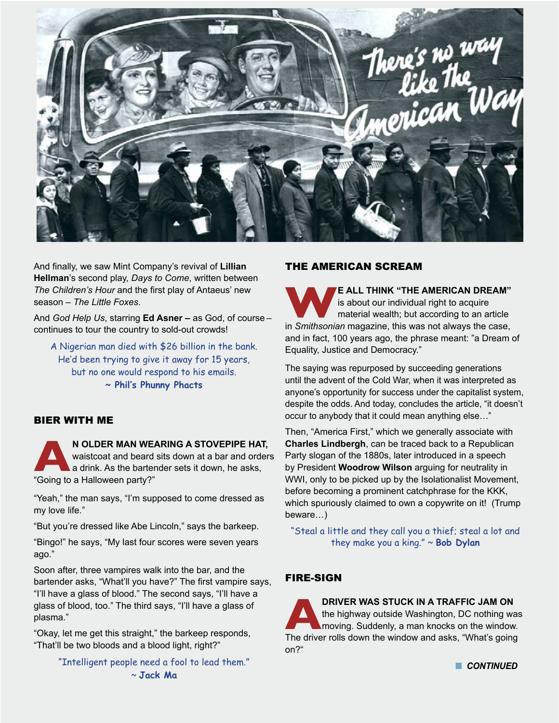

And finally, we saw Mint Company's revival of **Lillian Hellman**'s second play, *Days to Come*, written between *The Children's Hour* and the first play of Antaeus' new season – *The Little Foxes*.

And *God Help Us*, starring **Ed Asner –** as God, of course – continues to tour the country to sold-out crowds!

A Nigerian man died with \$26 billion in the bank. He'd been trying to give it away for 15 years, but no one would respond to his emails. **~ Phil's Phunny Phacts**

#### BIER WITH ME

**AN OLDER MAN WEARING A STOVEPIPE HAT,** waistcoat and beard sits down at a bar and orders a drink. As the bartender sets it down, he asks, "Going to a Halloween party?"

"Yeah," the man says, "I'm supposed to come dressed as my love life."

"But you're dressed like Abe Lincoln," says the barkeep.

"Bingo!" he says, "My last four scores were seven years ago."

Soon after, three vampires walk into the bar, and the bartender asks, "What'll you have?" The first vampire says, "I'll have a glass of blood." The second says, "I'll have a glass of blood, too." The third says, "I'll have a glass of plasma."

"Okay, let me get this straight," the barkeep responds, "That'll be two bloods and a blood light, right?"

> "Intelligent people need a fool to lead them." ~ **Jack Ma**

#### THE AMERICAN SCREAM

**WE ALL THINK "THE AMERICAN DREAM"** is about our individual right to acquire material wealth; but according to an article in *Smithsonian* magazine, this was not always the case, is about our individual right to acquire material wealth; but according to an article and in fact, 100 years ago, the phrase meant: "a Dream of Equality, Justice and Democracy."

The saying was repurposed by succeeding generations until the advent of the Cold War, when it was interpreted as anyone's opportunity for success under the capitalist system, despite the odds. And today, concludes the article, "it doesn't occur to anybody that it could mean anything else…"

Then, "America First," which we generally associate with **Charles Lindbergh**, can be traced back to a Republican Party slogan of the 1880s, later introduced in a speech by President **Woodrow Wilson** arguing for neutrality in WWI, only to be picked up by the Isolationalist Movement, before becoming a prominent catchphrase for the KKK, which spuriously claimed to own a copywrite on it! (Trump beware…)

"Steal a little and they call you a thief; steal a lot and they make you a king." ~ **Bob Dylan**

# FIRE-SIGN

**ARRIVER WAS STUCK IN A TRAFFIC JAM ON**<br>
the highway outside Washington, DC nothing was<br>
moving. Suddenly, a man knocks on the window.<br>
The driver rolls down the window and asks, "What's going the highway outside Washington, DC nothing was moving. Suddenly, a man knocks on the window. on?"

**n** CONTINUED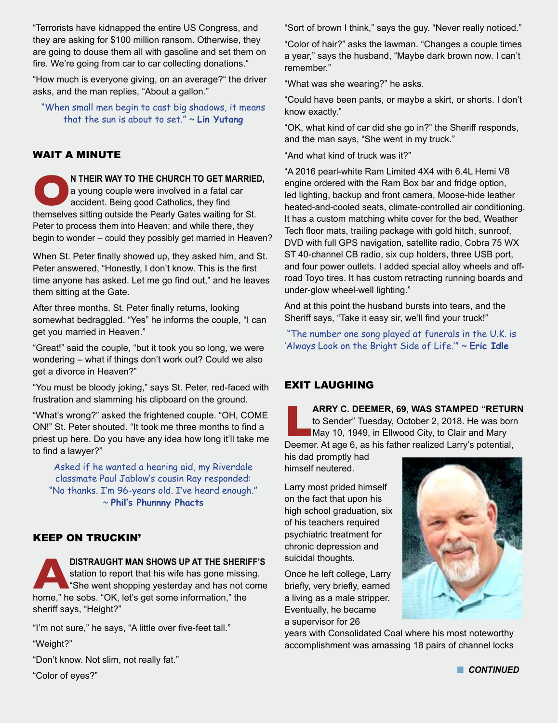"Terrorists have kidnapped the entire US Congress, and they are asking for \$100 million ransom. Otherwise, they are going to douse them all with gasoline and set them on fire. We're going from car to car collecting donations."

"How much is everyone giving, on an average?" the driver asks, and the man replies, "About a gallon."

"When small men begin to cast big shadows, it means that the sun is about to set." ~ **Lin Yutang**

## WAIT A MINUTE

**ON** THEIR WAY TO THE CHURCH TO GET MARRIED, a young couple were involved in a fatal car accident. Being good Catholics, they find themselves sitting outside the Pearly Gates waiting for St. a young couple were involved in a fatal car accident. Being good Catholics, they find Peter to process them into Heaven; and while there, they begin to wonder – could they possibly get married in Heaven?

When St. Peter finally showed up, they asked him, and St. Peter answered, "Honestly, I don't know. This is the first time anyone has asked. Let me go find out," and he leaves them sitting at the Gate.

After three months, St. Peter finally returns, looking somewhat bedraggled. "Yes" he informs the couple, "I can get you married in Heaven."

"Great!" said the couple, "but it took you so long, we were wondering – what if things don't work out? Could we also get a divorce in Heaven?"

"You must be bloody joking," says St. Peter, red-faced with frustration and slamming his clipboard on the ground.

"What's wrong?" asked the frightened couple. "OH, COME ON!" St. Peter shouted. "It took me three months to find a priest up here. Do you have any idea how long it'll take me to find a lawyer?"

Asked if he wanted a hearing aid, my Riverdale classmate Paul Jablow's cousin Ray responded: "No thanks. I'm 96-years old. I've heard enough." ~ **Phil's Phunnny Phacts**

#### KEEP ON TRUCKIN'

**ADISTRAUGHT MAN SHOWS UP AT THE SHERIFF'S** home," he sobs. "OK, let's get some information," the station to report that his wife has gone missing. She went shopping yesterday and has not come sheriff says, "Height?"

"I'm not sure," he says, "A little over five-feet tall."

"Weight?"

"Don't know. Not slim, not really fat."

"Color of eyes?"

"Sort of brown I think," says the guy. "Never really noticed."

"Color of hair?" asks the lawman. "Changes a couple times a year," says the husband, "Maybe dark brown now. I can't remember."

"What was she wearing?" he asks.

"Could have been pants, or maybe a skirt, or shorts. I don't know exactly."

"OK, what kind of car did she go in?" the Sheriff responds, and the man says, "She went in my truck."

"And what kind of truck was it?"

"A 2016 pearl-white Ram Limited 4X4 with 6.4L Hemi V8 engine ordered with the Ram Box bar and fridge option, led lighting, backup and front camera, Moose-hide leather heated-and-cooled seats, climate-controlled air conditioning. It has a custom matching white cover for the bed, Weather Tech floor mats, trailing package with gold hitch, sunroof, DVD with full GPS navigation, satellite radio, Cobra 75 WX ST 40-channel CB radio, six cup holders, three USB port, and four power outlets. I added special alloy wheels and offroad Toyo tires. It has custom retracting running boards and under-glow wheel-well lighting."

And at this point the husband bursts into tears, and the Sheriff says, "Take it easy sir, we'll find your truck!"

"The number one song played at funerals in the U.K. is 'Always Look on the Bright Side of Life.'" ~ **Eric Idle**

# EXIT LAUGHING

**Lark C. DEEMER, 69, WAS STAMPED "RETURN**<br>to Sender" Tuesday, October 2, 2018. He was born<br>May 10, 1949, in Ellwood City, to Clair and Mary<br>Deemer. At age 6. as his father realized Larry's potential. to Sender" Tuesday, October 2, 2018. He was born May 10, 1949, in Ellwood City, to Clair and Mary Deemer. At age 6, as his father realized Larry's potential,

his dad promptly had himself neutered.

Larry most prided himself on the fact that upon his high school graduation, six of his teachers required psychiatric treatment for chronic depression and suicidal thoughts.

Once he left college, Larry briefly, very briefly, earned a living as a male stripper. Eventually, he became a supervisor for 26

years with Consolidated Coal where his most noteworthy accomplishment was amassing 18 pairs of channel locks